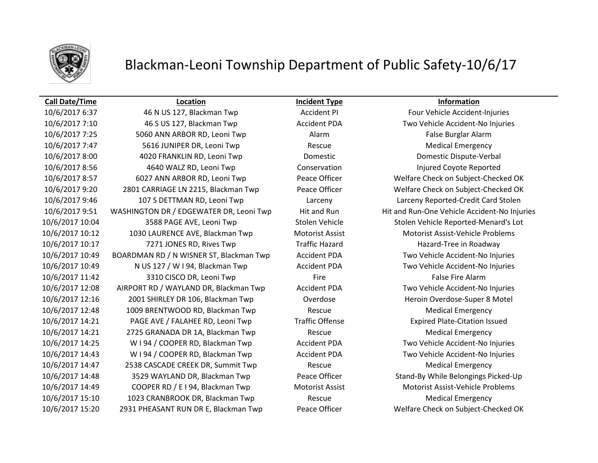

## Blackman-Leoni Township Department of Public Safety-10/6/17

## **Call Date/Time Location Incident Type Information**

10/6/2017 6:37 46 N US 127, Blackman Twp Accident PI Four Vehicle Accident-Injuries 10/6/2017 7:10 46 S US 127, Blackman Twp Accident PDA Two Vehicle Accident-No Injuries 10/6/2017 7:25 5060 ANN ARBOR RD, Leoni Twp **Alarm** Alarm **False Burglar Alarm** False Burglar Alarm 10/6/2017 7:47 5616 JUNIPER DR, Leoni Twp Rescue Medical Emergency 10/6/2017 8:00 4020 FRANKLIN RD, Leoni Twp Domestic Domestic Dispute-Verbal 10/6/2017 8:56 4640 WALZ RD, Leoni Twp Conservation Injured Coyote Reported 10/6/2017 8:57 6027 ANN ARBOR RD, Leoni Twp Peace Officer Welfare Check on Subject-Checked OK 10/6/2017 9:20 2801 CARRIAGE LN 2215, Blackman Twp Peace Officer Welfare Check on Subject-Checked OK 10/6/2017 9:46 107 S DETTMAN RD, Leoni Twp Larceny Larceny Reported-Credit Card Stolen 10/6/2017 9:51 WASHINGTON DR / EDGEWATER DR, Leoni Twp Hit and Run Hit and Run-One Vehicle Accident-No Injuries 10/6/2017 10:04 3588 PAGE AVE, Leoni Twp Stolen Vehicle Stolen Vehicle Reported-Menard's Lot 10/6/2017 10:12 1030 LAURENCE AVE, Blackman Twp Motorist Assist Motorist Assist-Vehicle Problems 10/6/2017 10:17 7271 JONES RD, Rives Twp Traffic Hazard Hazard-Tree in Roadway 10/6/2017 10:49 BOARDMAN RD / N WISNER ST, Blackman Twp Accident PDA Two Vehicle Accident-No Injuries 10/6/2017 10:49 N US 127 / W I 94, Blackman Twp Accident PDA Two Vehicle Accident-No Injuries 10/6/2017 11:42 3310 CISCO DR, Leoni Twp Fire Fire Fire False Fire Alarm 10/6/2017 12:08 AIRPORT RD / WAYLAND DR, Blackman Twp Accident PDA Two Vehicle Accident-No Injuries 10/6/2017 12:16 2001 SHIRLEY DR 106, Blackman Twp Coverdose Coverdose Heroin Overdose-Super 8 Motel 10/6/2017 12:48 1009 BRENTWOOD RD, Blackman Twp Rescue Medical Emergency 10/6/2017 14:21 PAGE AVE / FALAHEE RD, Leoni Twp Traffic Offense Expired Plate-Citation Issued 10/6/2017 14:21 2725 GRANADA DR 1A, Blackman Twp Rescue Rescue Medical Emergency 10/6/2017 14:25 W I 94 / COOPER RD, Blackman Twp Accident PDA Two Vehicle Accident-No Injuries 10/6/2017 14:43 W I 94 / COOPER RD, Blackman Twp Accident PDA Two Vehicle Accident-No Injuries 10/6/2017 14:47 2538 CASCADE CREEK DR, Summit Twp Rescue Medical Emergency 10/6/2017 14:48 3529 WAYLAND DR, Blackman Twp Peace Officer Stand-By While Belongings Picked-Up 10/6/2017 14:49 COOPER RD / E I 94, Blackman Twp Motorist Assist Motorist Assist-Vehicle Problems 10/6/2017 15:10 1023 CRANBROOK DR, Blackman Twp Rescue Medical Emergency 10/6/2017 15:20 2931 PHEASANT RUN DR E, Blackman Twp Peace Officer Welfare Check on Subject-Checked OK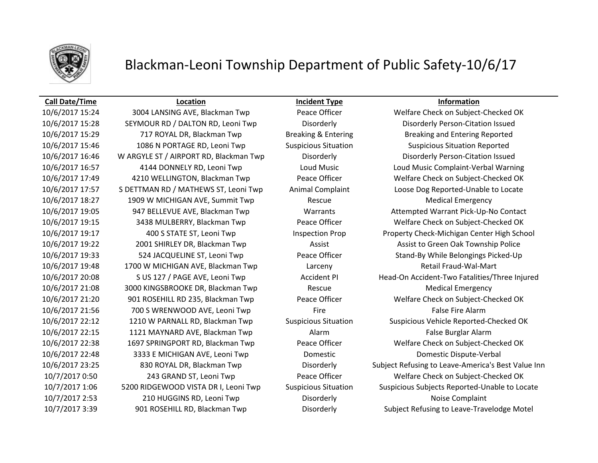

## Blackman-Leoni Township Department of Public Safety-10/6/17

### **Call Date/Time Location Incident Type Information**

10/6/2017 15:28 SEYMOUR RD / DALTON RD, Leoni Twp Disorderly Disorderly Person-Citation Issued 10/6/2017 15:29 717 ROYAL DR, Blackman Twp Breaking & Entering Breaking and Entering Reported 10/6/2017 15:46 1086 N PORTAGE RD, Leoni Twp Suspicious Situation Suspicious Situation Reported 10/6/2017 16:46 W ARGYLE ST / AIRPORT RD, Blackman Twp Disorderly Disorderly Person-Citation Issued 10/6/2017 17:57 S DETTMAN RD / MATHEWS ST, Leoni Twp Animal Complaint Loose Dog Reported-Unable to Locate 10/6/2017 18:27 1909 W MICHIGAN AVE, Summit Twp Rescue Rescue Medical Emergency 10/6/2017 19:22 2001 SHIRLEY DR, Blackman Twp Assist Assist Assist to Green Oak Township Police 10/6/2017 19:33 524 JACQUELINE ST, Leoni Twp Peace Officer Stand-By While Belongings Picked-Up 10/6/2017 19:48 1700 W MICHIGAN AVE, Blackman Twp Larceny Retail Fraud-Wal-Mart 10/6/2017 21:08 3000 KINGSBROOKE DR, Blackman Twp Rescue Medical Emergency 10/6/2017 21:56 200 S WRENWOOD AVE, Leoni Twp Fire Fire Fire False Fire Alarm 10/6/2017 22:15 1121 MAYNARD AVE, Blackman Twp Alarm Alarm False Burglar Alarm 10/6/2017 22:48 3333 E MICHIGAN AVE, Leoni Twp Domestic Domestic Dispute-Verbal 10/7/2017 2:53 210 HUGGINS RD, Leoni Twp Disorderly Noise Complaint 10/7/2017 3:39 901 ROSEHILL RD, Blackman Twp Disorderly Subject Refusing to Leave-Travelodge Motel

10/6/2017 15:24 3004 LANSING AVE, Blackman Twp Peace Officer Welfare Check on Subject-Checked OK 10/6/2017 16:57 4144 DONNELY RD, Leoni Twp Loud Music Loud Music Complaint-Verbal Warning 10/6/2017 17:49 4210 WELLINGTON, Blackman Twp Peace Officer Welfare Check on Subject-Checked OK 10/6/2017 19:05 947 BELLEVUE AVE, Blackman Twp Warrants Attempted Warrant Pick-Up-No Contact 10/6/2017 19:15 3438 MULBERRY, Blackman Twp Peace Officer Welfare Check on Subject-Checked OK 10/6/2017 19:17 400 S STATE ST, Leoni Twp Inspection Prop Property Check-Michigan Center High School 10/6/2017 20:08 S US 127 / PAGE AVE, Leoni Twp Accident PI Head-On Accident-Two Fatalities/Three Injured 10/6/2017 21:20 901 ROSEHILL RD 235, Blackman Twp Peace Officer Welfare Check on Subject-Checked OK 10/6/2017 22:12 1210 W PARNALL RD, Blackman Twp Suspicious Situation Suspicious Vehicle Reported-Checked OK 10/6/2017 22:38 1697 SPRINGPORT RD, Blackman Twp Peace Officer Welfare Check on Subject-Checked OK 10/6/2017 23:25 830 ROYAL DR, Blackman Twp Disorderly Subject Refusing to Leave-America's Best Value Inn 10/7/2017 0:50 243 GRAND ST, Leoni Twp Peace Officer Welfare Check on Subject-Checked OK 10/7/2017 1:06 5200 RIDGEWOOD VISTA DR I, Leoni Twp Suspicious Situation Suspicious Subjects Reported-Unable to Locate